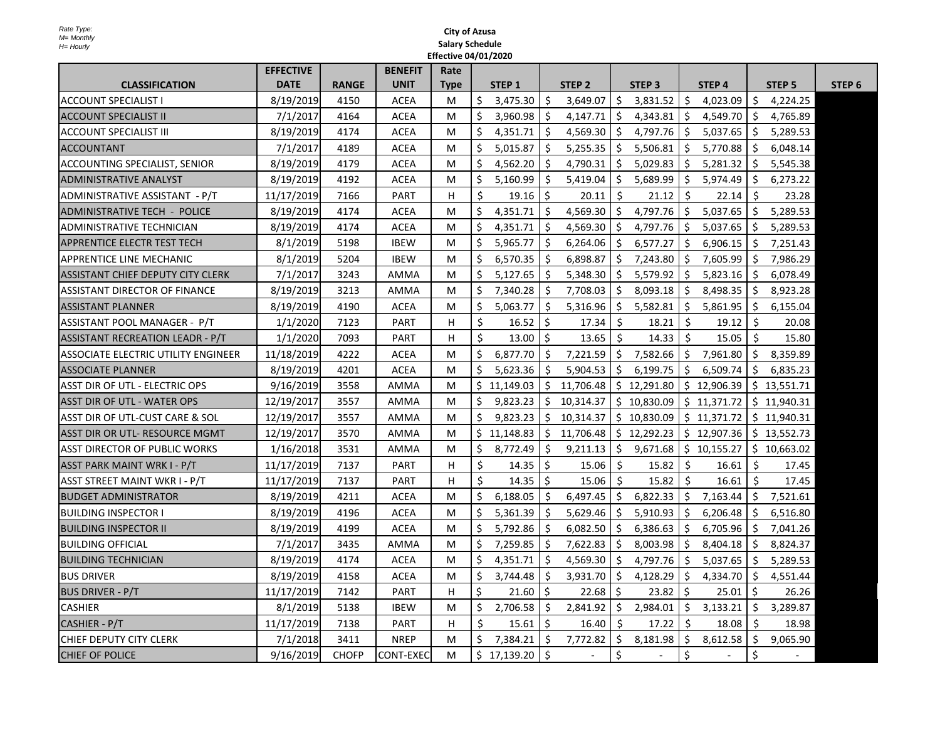|                                            | <b>EFFECTIVE</b> |              | <b>BENEFIT</b> | Rate        |              |                |              |                          |              |               |                |                         |              |             |        |
|--------------------------------------------|------------------|--------------|----------------|-------------|--------------|----------------|--------------|--------------------------|--------------|---------------|----------------|-------------------------|--------------|-------------|--------|
| <b>CLASSIFICATION</b>                      | <b>DATE</b>      | <b>RANGE</b> | <b>UNIT</b>    | <b>Type</b> |              | STEP 1         |              | STEP 2                   |              | <b>STEP 3</b> |                | STEP 4                  |              | STEP 5      | STEP 6 |
| <b>ACCOUNT SPECIALIST I</b>                | 8/19/2019        | 4150         | <b>ACEA</b>    | M           | $\mathsf{S}$ | 3,475.30       |              | 3,649.07                 | $\mathsf{S}$ | 3,831.52      |                | 4,023.09                |              | 4,224.25    |        |
| <b>ACCOUNT SPECIALIST II</b>               | 7/1/2017         | 4164         | <b>ACEA</b>    | M           |              | 3,960.98       |              | 4,147.71                 | S            | 4,343.81      |                | 4,549.70                |              | 4,765.89    |        |
| <b>ACCOUNT SPECIALIST III</b>              | 8/19/2019        | 4174         | <b>ACEA</b>    | M           |              | 4,351.71       |              | 4,569.30                 |              | 4,797.76      |                | 5,037.65                |              | 5,289.53    |        |
| <b>ACCOUNTANT</b>                          | 7/1/2017         | 4189         | <b>ACEA</b>    | M           |              | 5,015.87       |              | 5,255.35                 |              | 5,506.81      |                | 5,770.88                |              | 6,048.14    |        |
| <b>ACCOUNTING SPECIALIST, SENIOR</b>       | 8/19/2019        | 4179         | <b>ACEA</b>    | M           |              | 4,562.20       |              | 4,790.31                 |              | 5,029.83      |                | 5,281.32                |              | 5,545.38    |        |
| <b>ADMINISTRATIVE ANALYST</b>              | 8/19/2019        | 4192         | <b>ACEA</b>    | M           |              | 5,160.99       |              | 5,419.04                 |              | 5,689.99      |                | 5,974.49                |              | 6,273.22    |        |
| ADMINISTRATIVE ASSISTANT - P/T             | 11/17/2019       | 7166         | <b>PART</b>    | H           |              | 19.16          | \$.          | 20.11                    |              | 21.12         |                | 22.14                   |              | 23.28       |        |
| <b>ADMINISTRATIVE TECH - POLICE</b>        | 8/19/2019        | 4174         | <b>ACEA</b>    | M           |              | 4,351.71       | -S           | 4,569.30                 | $\mathsf{S}$ | 4,797.76      |                | 5,037.65                |              | 5,289.53    |        |
| <b>ADMINISTRATIVE TECHNICIAN</b>           | 8/19/2019        | 4174         | <b>ACEA</b>    | M           |              | 4,351.71       |              | 4,569.30                 |              | 4,797.76      |                | 5,037.65                |              | 5,289.53    |        |
| <b>APPRENTICE ELECTR TEST TECH</b>         | 8/1/2019         | 5198         | <b>IBEW</b>    | M           |              | 5,965.77       | <sub>S</sub> | 6,264.06                 | S            | 6,577.27      | <sub>S</sub>   | 6,906.15                |              | 7,251.43    |        |
| <b>APPRENTICE LINE MECHANIC</b>            | 8/1/2019         | 5204         | <b>IBEW</b>    | M           |              | 6,570.35       |              | 6,898.87                 | S            | 7,243.80      | <sub>S</sub>   | 7,605.99                |              | 7,986.29    |        |
| <b>ASSISTANT CHIEF DEPUTY CITY CLERK</b>   | 7/1/2017         | 3243         | <b>AMMA</b>    | M           | S.           | 5,127.65       |              | 5,348.30                 | <sub>S</sub> | 5,579.92      |                | 5,823.16                |              | 6,078.49    |        |
| <b>ASSISTANT DIRECTOR OF FINANCE</b>       | 8/19/2019        | 3213         | <b>AMMA</b>    | M           | \$.          | 7,340.28       |              | 7,708.03                 |              | 8,093.18      | S              | 8,498.35                |              | 8,923.28    |        |
| <b>ASSISTANT PLANNER</b>                   | 8/19/2019        | 4190         | <b>ACEA</b>    | M           |              | 5,063.77       |              | 5,316.96                 |              | 5,582.81      |                | 5,861.95                |              | 6,155.04    |        |
| ASSISTANT POOL MANAGER - P/T               | 1/1/2020         | 7123         | <b>PART</b>    | H.          |              | 16.52          |              | 17.34                    |              | 18.21         |                | 19.12                   |              | 20.08       |        |
| <b>ASSISTANT RECREATION LEADR - P/T</b>    | 1/1/2020         | 7093         | <b>PART</b>    | H.          |              | 13.00          |              | 13.65                    |              | 14.33         |                | 15.05                   |              | 15.80       |        |
| <b>ASSOCIATE ELECTRIC UTILITY ENGINEER</b> | 11/18/2019       | 4222         | <b>ACEA</b>    | M           |              | 6,877.70       |              | 7,221.59                 | S            | 7,582.66      |                | 7,961.80                |              | 8,359.89    |        |
| <b>ASSOCIATE PLANNER</b>                   | 8/19/2019        | 4201         | <b>ACEA</b>    | M           |              | 5,623.36       |              | 5,904.53                 |              | 6,199.75      |                | 6,509.74                |              | 6,835.23    |        |
| <b>ASST DIR OF UTL - ELECTRIC OPS</b>      | 9/16/2019        | 3558         | <b>AMMA</b>    | M           |              | \$11,149.03    | <sub>S</sub> | 11,706.48                | $\mathsf{S}$ | 12,291.80     | $\overline{5}$ | 12,906.39               |              | \$13,551.71 |        |
| <b>ASST DIR OF UTL - WATER OPS</b>         | 12/19/2017       | 3557         | <b>AMMA</b>    | M           |              | 9,823.23       |              | 10,314.37                | $\mathsf{S}$ | 10,830.09     |                | $\frac{1}{2}$ 11,371.72 |              | \$11,940.31 |        |
| <b>ASST DIR OF UTL-CUST CARE &amp; SOL</b> | 12/19/2017       | 3557         | <b>AMMA</b>    | M           |              | 9,823.23       |              | 10,314.37                | $\mathsf{S}$ | 10,830.09     |                | \$11,371.72             |              | \$11,940.31 |        |
| <b>ASST DIR OR UTL- RESOURCE MGMT</b>      | 12/19/2017       | 3570         | <b>AMMA</b>    | M           |              | 11,148.83      |              | 11,706.48                | <sub>S</sub> | 12,292.23     | $\mathsf{S}$   | 12,907.36               | $\mathsf{S}$ | 13,552.73   |        |
| <b>ASST DIRECTOR OF PUBLIC WORKS</b>       | 1/16/2018        | 3531         | <b>AMMA</b>    | M           |              | 8,772.49       |              | 9,211.13                 | -S           | 9,671.68      | $\mathsf{S}$   | 10,155.27               | \$           | 10,663.02   |        |
| <b>ASST PARK MAINT WRK I - P/T</b>         | 11/17/2019       | 7137         | <b>PART</b>    | H.          |              | 14.35          | -Ş           | 15.06                    | -Ş           | 15.82         |                | 16.61                   |              | 17.45       |        |
| <b>ASST STREET MAINT WKR I - P/T</b>       | 11/17/2019       | 7137         | <b>PART</b>    | H.          |              | 14.35          | \$.          | 15.06                    | $\mathsf{S}$ | 15.82         |                | 16.61                   | -Ş           | 17.45       |        |
| <b>BUDGET ADMINISTRATOR</b>                | 8/19/2019        | 4211         | <b>ACEA</b>    | M           |              | 6,188.05       | -S           | 6,497.45                 | $\mathsf{S}$ | 6,822.33      | <sub>S</sub>   | 7,163.44                | -S           | 7,521.61    |        |
| <b>BUILDING INSPECTOR I</b>                | 8/19/2019        | 4196         | <b>ACEA</b>    | M           |              | 5,361.39       |              | 5,629.46                 |              | 5,910.93      |                | 6,206.48                |              | 6,516.80    |        |
| <b>BUILDING INSPECTOR II</b>               | 8/19/2019        | 4199         | <b>ACEA</b>    | M           |              | 5,792.86       |              | 6,082.50                 |              | 6,386.63      |                | 6,705.96                |              | 7,041.26    |        |
| <b>BUILDING OFFICIAL</b>                   | 7/1/2017         | 3435         | AMMA           | M           |              | 7,259.85       |              | 7,622.83                 |              | 8,003.98      |                | 8,404.18                |              | 8,824.37    |        |
| <b>BUILDING TECHNICIAN</b>                 | 8/19/2019        | 4174         | <b>ACEA</b>    | M           |              | 4,351.71       | -Ş           | 4,569.30                 |              | 4,797.76      | <sub>S</sub>   | 5,037.65                |              | 5,289.53    |        |
| <b>BUS DRIVER</b>                          | 8/19/2019        | 4158         | <b>ACEA</b>    | M           |              | 3,744.48       |              | 3,931.70                 | \$.          | 4,128.29      | <sub>S</sub>   | 4,334.70                |              | 4,551.44    |        |
| <b>BUS DRIVER - P/T</b>                    | 11/17/2019       | 7142         | <b>PART</b>    | H           |              | 21.60          |              | 22.68                    |              | 23.82         |                | 25.01                   |              | 26.26       |        |
| <b>CASHIER</b>                             | 8/1/2019         | 5138         | <b>IBEW</b>    | M           |              | 2,706.58       |              | 2,841.92                 |              | 2,984.01      | S              | 3,133.21                |              | 3,289.87    |        |
| CASHIER - P/T                              | 11/17/2019       | 7138         | <b>PART</b>    | H.          |              | 15.61          | -S           | 16.40                    |              | 17.22         |                | 18.08                   |              | 18.98       |        |
| <b>CHIEF DEPUTY CITY CLERK</b>             | 7/1/2018         | 3411         | <b>NREP</b>    | M           |              | 7,384.21       | $\mathsf{S}$ | 7,772.82                 | $\mathsf{S}$ | 8,181.98      | <sub>S</sub>   | 8,612.58                |              | 9,065.90    |        |
| <b>CHIEF OF POLICE</b>                     | 9/16/2019        | <b>CHOFP</b> | CONT-EXEC      | M           | Ş.           | 17,139.20   \$ |              | $\overline{\phantom{a}}$ |              |               |                | $\sim$                  |              |             |        |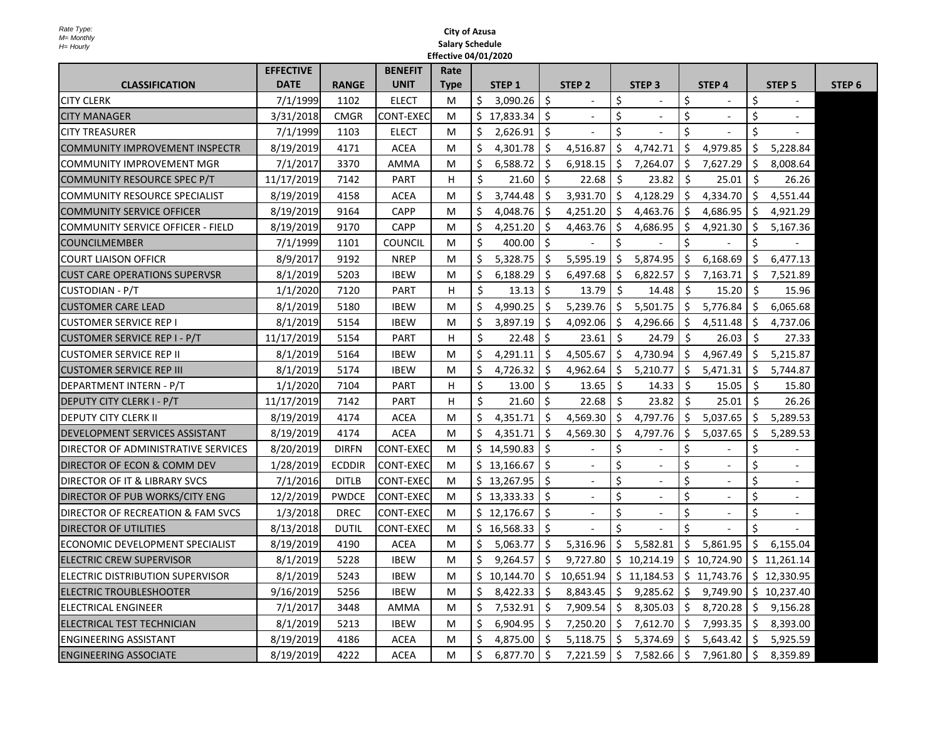|                                              | <b>EFFECTIVE</b> |               | <b>BENEFIT</b> | Rate        |             |                      |               |                |              |                          |              |                                        |         |                          |        |
|----------------------------------------------|------------------|---------------|----------------|-------------|-------------|----------------------|---------------|----------------|--------------|--------------------------|--------------|----------------------------------------|---------|--------------------------|--------|
| <b>CLASSIFICATION</b>                        | <b>DATE</b>      | <b>RANGE</b>  | <b>UNIT</b>    | <b>Type</b> |             | STEP 1               |               | STEP 2         |              | STEP <sub>3</sub>        |              | STEP 4                                 |         | STEP <sub>5</sub>        | STEP 6 |
| <b>CITY CLERK</b>                            | 7/1/1999         | 1102          | <b>ELECT</b>   | M           |             | 3,090.26             | $\mathsf{S}$  |                | Ş            |                          |              |                                        |         |                          |        |
| <b>CITY MANAGER</b>                          | 3/31/2018        | <b>CMGR</b>   | CONT-EXEC      | M           |             | \$17,833.34          | Ş             |                |              |                          |              |                                        |         |                          |        |
| <b>CITY TREASURER</b>                        | 7/1/1999         | 1103          | <b>ELECT</b>   | M           |             | 2,626.91             |               |                |              |                          |              |                                        |         |                          |        |
| <b>COMMUNITY IMPROVEMENT INSPECTR</b>        | 8/19/2019        | 4171          | <b>ACEA</b>    | M           |             | 4,301.78             |               | 4,516.87       | \$.          | 4,742.71                 |              | 4,979.85                               |         | 5,228.84                 |        |
| COMMUNITY IMPROVEMENT MGR                    | 7/1/2017         | 3370          | <b>AMMA</b>    | M           |             | 6,588.72             |               | 6,918.15       | $\varsigma$  | 7,264.07                 | $\varsigma$  | 7,627.29                               |         | 8,008.64                 |        |
| COMMUNITY RESOURCE SPEC P/T                  | 11/17/2019       | 7142          | <b>PART</b>    | H           |             | 21.60                |               | 22.68          |              | 23.82                    |              | 25.01                                  |         | 26.26                    |        |
| COMMUNITY RESOURCE SPECIALIST                | 8/19/2019        | 4158          | <b>ACEA</b>    | M           |             | 3,744.48             |               | 3,931.70       | $\varsigma$  | 4,128.29                 | S.           | 4,334.70                               |         | 4,551.44                 |        |
| <b>COMMUNITY SERVICE OFFICER</b>             | 8/19/2019        | 9164          | <b>CAPP</b>    | M           |             | 4,048.76             |               | 4,251.20       | $\varsigma$  | 4,463.76                 | $\zeta$      | 4,686.95                               |         | 4,921.29                 |        |
| COMMUNITY SERVICE OFFICER - FIELD            | 8/19/2019        | 9170          | <b>CAPP</b>    | M           |             | 4,251.20             |               | 4,463.76       | \$.          | 4,686.95                 | <sub>S</sub> | 4,921.30                               |         | 5,167.36                 |        |
| <b>COUNCILMEMBER</b>                         | 7/1/1999         | 1101          | <b>COUNCIL</b> | M           |             | 400.00               |               |                |              |                          |              |                                        |         |                          |        |
| <b>COURT LIAISON OFFICR</b>                  | 8/9/2017         | 9192          | <b>NREP</b>    | M           | $\varsigma$ | 5,328.75             | Ş             | 5,595.19       | $\varsigma$  | 5,874.95                 | $\varsigma$  | 6,168.69                               |         | 6,477.13                 |        |
| <b>CUST CARE OPERATIONS SUPERVSR</b>         | 8/1/2019         | 5203          | <b>IBEW</b>    | M           |             | 6,188.29             |               | 6,497.68       | $\mathsf{S}$ | 6,822.57                 | $\varsigma$  | 7,163.71                               |         | 7,521.89                 |        |
| <b>CUSTODIAN - P/T</b>                       | 1/1/2020         | 7120          | <b>PART</b>    | H.          |             | 13.13                | -S            | 13.79          |              | 14.48                    |              | 15.20                                  |         | 15.96                    |        |
| <b>CUSTOMER CARE LEAD</b>                    | 8/1/2019         | 5180          | <b>IBEW</b>    | M           | \$          | 4,990.25             |               | 5,239.76       | -Ş           | 5,501.75                 | $\mathsf{S}$ | 5,776.84                               |         | 6,065.68                 |        |
| <b>CUSTOMER SERVICE REP I</b>                | 8/1/2019         | 5154          | <b>IBEW</b>    | M           |             | 3,897.19             |               | 4,092.06       | S            | 4,296.66                 | S.           | 4,511.48                               |         | 4,737.06                 |        |
| <b>CUSTOMER SERVICE REP I - P/T</b>          | 11/17/2019       | 5154          | <b>PART</b>    | H.          |             | 22.48                |               | 23.61          |              | 24.79                    |              | 26.03                                  |         | 27.33                    |        |
| <b>CUSTOMER SERVICE REP II</b>               | 8/1/2019         | 5164          | <b>IBEW</b>    | M           |             | 4,291.11             |               | 4,505.67       | $\zeta$      | 4,730.94                 | $\zeta$      | 4,967.49                               |         | 5,215.87                 |        |
| <b>CUSTOMER SERVICE REP III</b>              | 8/1/2019         | 5174          | <b>IBEW</b>    | M           |             | $4,726.32$ $\mid$ \$ |               |                |              |                          |              | $4,962.64$   \$ 5,210.77   \$ 5,471.31 | $\zeta$ | 5,744.87                 |        |
| DEPARTMENT INTERN - P/T                      | 1/1/2020         | 7104          | <b>PART</b>    | H.          |             | 13.00                | -Ş            | 13.65          | -Ş           | 14.33                    |              | 15.05                                  |         | 15.80                    |        |
| <b>DEPUTY CITY CLERK I - P/T</b>             | 11/17/2019       | 7142          | <b>PART</b>    | H           |             | 21.60                |               | 22.68          |              | 23.82                    |              | 25.01                                  |         | 26.26                    |        |
| <b>DEPUTY CITY CLERK II</b>                  | 8/19/2019        | 4174          | <b>ACEA</b>    | M           | S.          | 4,351.71             |               | 4,569.30       | <sub>S</sub> | 4,797.76                 | $\mathsf{S}$ | 5,037.65                               |         | 5,289.53                 |        |
| <b>DEVELOPMENT SERVICES ASSISTANT</b>        | 8/19/2019        | 4174          | <b>ACEA</b>    | M           |             | 4,351.71             |               | 4,569.30       | $\varsigma$  | 4,797.76                 |              | 5,037.65                               |         | 5,289.53                 |        |
| <b>DIRECTOR OF ADMINISTRATIVE SERVICES</b>   | 8/20/2019        | <b>DIRFN</b>  | CONT-EXEC      | M           |             | 14,590.83            |               |                |              |                          |              |                                        |         |                          |        |
| DIRECTOR OF ECON & COMM DEV                  | 1/28/2019        | <b>ECDDIR</b> | CONT-EXEC      | M           |             | 13,166.67            | -S            |                |              | $\blacksquare$           |              |                                        |         | $\overline{\phantom{a}}$ |        |
| <b>DIRECTOR OF IT &amp; LIBRARY SVCS</b>     | 7/1/2016         | <b>DITLB</b>  | CONT-EXEC      | M           |             | 13,267.95            |               | $\blacksquare$ |              | $\overline{\phantom{a}}$ |              |                                        |         |                          |        |
| DIRECTOR OF PUB WORKS/CITY ENG               | 12/2/2019        | <b>PWDCE</b>  | CONT-EXEC      | M           |             | 13,333.33            | -Ş            |                |              |                          |              |                                        |         |                          |        |
| <b>DIRECTOR OF RECREATION &amp; FAM SVCS</b> | 1/3/2018         | <b>DREC</b>   | CONT-EXEC      | M           |             | \$12,176.67          | -S            |                |              |                          |              |                                        |         |                          |        |
| <b>DIRECTOR OF UTILITIES</b>                 | 8/13/2018        | <b>DUTIL</b>  | CONT-EXEC      | M           |             | \$16,568.33          |               |                |              |                          |              |                                        |         |                          |        |
| <b>ECONOMIC DEVELOPMENT SPECIALIST</b>       | 8/19/2019        | 4190          | <b>ACEA</b>    | M           |             | 5,063.77             |               | 5,316.96       | $\varsigma$  | 5,582.81                 | $\varsigma$  | 5,861.95                               |         | 6,155.04                 |        |
| <b>ELECTRIC CREW SUPERVISOR</b>              | 8/1/2019         | 5228          | <b>IBEW</b>    | M           |             | 9,264.57             |               | 9,727.80       |              | 10,214.19                | S.           | 10,724.90                              |         | 11,261.14                |        |
| ELECTRIC DISTRIBUTION SUPERVISOR             | 8/1/2019         | 5243          | <b>IBEW</b>    | M           |             | 10,144.70            |               | 10,651.94      | $\mathsf{S}$ | 11,184.53                | S.           | 11,743.76                              |         | 12,330.95                |        |
| <b>ELECTRIC TROUBLESHOOTER</b>               | 9/16/2019        | 5256          | <b>IBEW</b>    | M           |             | 8,422.33             |               | 8,843.45       |              | 9,285.62                 | $\mathsf{S}$ | 9,749.90                               |         | 10,237.40                |        |
| <b>ELECTRICAL ENGINEER</b>                   | 7/1/2017         | 3448          | <b>AMMA</b>    | M           | S.          | 7,532.91             |               | 7,909.54       | $\mathsf{S}$ | 8,305.03                 | $\mathsf{S}$ | 8,720.28                               |         | 9,156.28                 |        |
| <b>ELECTRICAL TEST TECHNICIAN</b>            | 8/1/2019         | 5213          | <b>IBEW</b>    | M           |             | 6,904.95             |               | 7,250.20       | -S           | 7,612.70                 | S.           | 7,993.35                               |         | 8,393.00                 |        |
| <b>ENGINEERING ASSISTANT</b>                 | 8/19/2019        | 4186          | <b>ACEA</b>    | M           |             | 4,875.00             |               | 5,118.75       |              | 5,374.69                 | S.           | 5,643.42                               |         | 5,925.59                 |        |
| <b>ENGINEERING ASSOCIATE</b>                 | 8/19/2019        | 4222          | <b>ACEA</b>    | M           | Ş           | 6,877.70             | $\mathcal{S}$ | 7,221.59       | -Ş           | 7,582.66                 | l Ş          | 7,961.80                               |         | 8,359.89                 |        |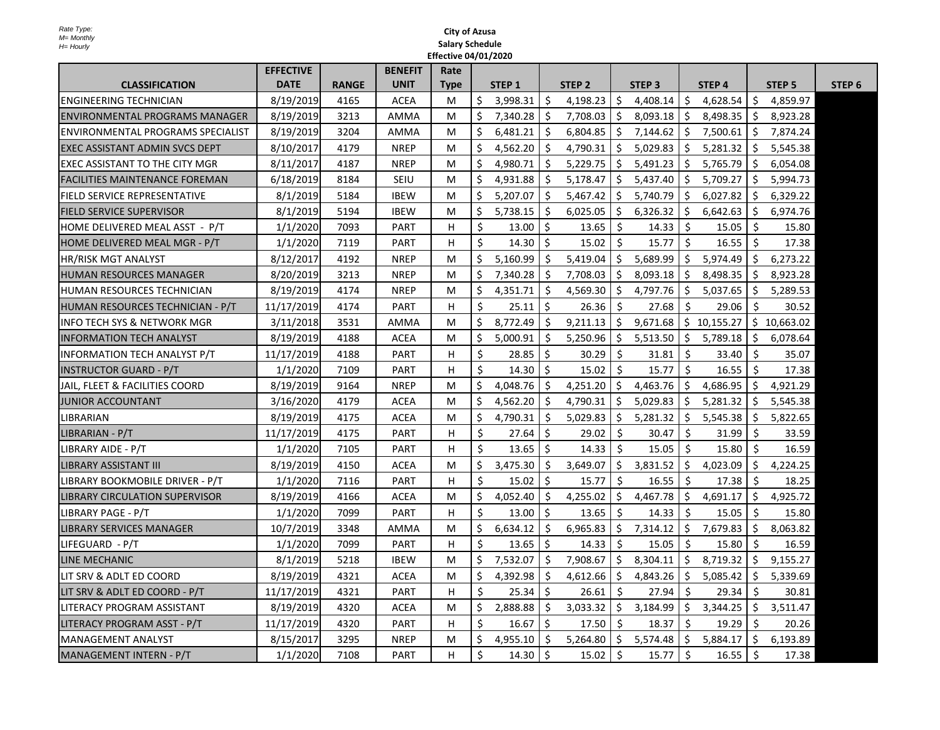|                                          | <b>EFFECTIVE</b> |              | <b>BENEFIT</b> | Rate        |              |          |     |              |              |                  |              |           |              |               |        |
|------------------------------------------|------------------|--------------|----------------|-------------|--------------|----------|-----|--------------|--------------|------------------|--------------|-----------|--------------|---------------|--------|
| <b>CLASSIFICATION</b>                    | <b>DATE</b>      | <b>RANGE</b> | <b>UNIT</b>    | <b>Type</b> |              | STEP 1   |     | STEP 2       |              | <b>STEP 3</b>    |              | STEP 4    |              | <b>STEP 5</b> | STEP 6 |
| <b>ENGINEERING TECHNICIAN</b>            | 8/19/2019        | 4165         | <b>ACEA</b>    | M           | \$           | 3,998.31 |     | 4,198.23     | $\varsigma$  | 4,408.14         | S.           | 4,628.54  |              | 4,859.97      |        |
| <b>ENVIRONMENTAL PROGRAMS MANAGER</b>    | 8/19/2019        | 3213         | <b>AMMA</b>    | M           | $\mathsf{S}$ | 7,340.28 |     | 7,708.03     | $\varsigma$  | 8,093.18         | $\mathsf{S}$ | 8,498.35  |              | 8,923.28      |        |
| <b>ENVIRONMENTAL PROGRAMS SPECIALIST</b> | 8/19/2019        | 3204         | <b>AMMA</b>    | M           |              | 6,481.21 |     | 6,804.85     | $\mathsf{S}$ | 7,144.62         | $\mathsf{S}$ | 7,500.61  |              | 7,874.24      |        |
| <b>EXEC ASSISTANT ADMIN SVCS DEPT</b>    | 8/10/2017        | 4179         | <b>NREP</b>    | M           | \$           | 4,562.20 |     | 4,790.31     |              | 5,029.83         | $\mathsf{S}$ | 5,281.32  |              | 5,545.38      |        |
| <b>EXEC ASSISTANT TO THE CITY MGR</b>    | 8/11/2017        | 4187         | <b>NREP</b>    | M           |              | 4,980.71 |     | 5,229.75     | <sub>S</sub> | 5,491.23         | <sub>S</sub> | 5,765.79  |              | 6,054.08      |        |
| <b>FACILITIES MAINTENANCE FOREMAN</b>    | 6/18/2019        | 8184         | <b>SEIU</b>    | M           |              | 4,931.88 |     | 5,178.47     | -S           | 5,437.40         | -S           | 5,709.27  |              | 5,994.73      |        |
| <b>FIELD SERVICE REPRESENTATIVE</b>      | 8/1/2019         | 5184         | <b>IBEW</b>    | M           | $\zeta$      | 5,207.07 |     | 5,467.42     | \$.          | 5,740.79         | S.           | 6,027.82  |              | 6,329.22      |        |
| <b>FIELD SERVICE SUPERVISOR</b>          | 8/1/2019         | 5194         | <b>IBEW</b>    | M           | $\varsigma$  | 5,738.15 |     | 6,025.05     | $\varsigma$  | 6,326.32         | <sub>S</sub> | 6,642.63  | <sup>S</sup> | 6,974.76      |        |
| HOME DELIVERED MEAL ASST - P/T           | 1/1/2020         | 7093         | <b>PART</b>    | H           |              | 13.00    |     | 13.65        | $\zeta$      | 14.33            |              | 15.05     |              | 15.80         |        |
| HOME DELIVERED MEAL MGR - P/T            | 1/1/2020         | 7119         | <b>PART</b>    | H           |              | 14.30    |     | 15.02        | $\zeta$      | 15.77            |              | 16.55     |              | 17.38         |        |
| <b>HR/RISK MGT ANALYST</b>               | 8/12/2017        | 4192         | <b>NREP</b>    | M           | \$           | 5,160.99 |     | 5,419.04     | $\varsigma$  | 5,689.99         | $\zeta$      | 5,974.49  |              | 6,273.22      |        |
| <b>HUMAN RESOURCES MANAGER</b>           | 8/20/2019        | 3213         | <b>NREP</b>    | M           | \$           | 7,340.28 |     | 7,708.03     | $\varsigma$  | 8,093.18         | $\zeta$      | 8,498.35  |              | 8,923.28      |        |
| <b>HUMAN RESOURCES TECHNICIAN</b>        | 8/19/2019        | 4174         | <b>NREP</b>    | M           | $\mathsf{S}$ | 4,351.71 |     | 4,569.30     | $\mathsf{S}$ | 4,797.76         | S.           | 5,037.65  |              | 5,289.53      |        |
| HUMAN RESOURCES TECHNICIAN - P/T         | 11/17/2019       | 4174         | <b>PART</b>    | H.          |              | 25.11    |     | 26.36        | -Ş           | 27.68            |              | 29.06     |              | 30.52         |        |
| <b>INFO TECH SYS &amp; NETWORK MGR</b>   | 3/11/2018        | 3531         | <b>AMMA</b>    | M           | $\varsigma$  | 8,772.49 |     | 9,211.13     | $\zeta$      | 9,671.68         | $\zeta$      | 10,155.27 | \$,          | 10,663.02     |        |
| <b>INFORMATION TECH ANALYST</b>          | 8/19/2019        | 4188         | <b>ACEA</b>    | M           | $\varsigma$  | 5,000.91 |     | 5,250.96     | $\zeta$      | 5,513.50         | $\varsigma$  | 5,789.18  |              | 6,078.64      |        |
| <b>INFORMATION TECH ANALYST P/T</b>      | 11/17/2019       | 4188         | <b>PART</b>    | H.          |              | 28.85    |     | 30.29        |              | 31.81            |              | 33.40     |              | 35.07         |        |
| <b>INSTRUCTOR GUARD - P/T</b>            | 1/1/2020         | 7109         | <b>PART</b>    | H           |              | 14.30    |     | 15.02        | $\zeta$      | 15.77            | $\varsigma$  | 16.55     |              | 17.38         |        |
| JAIL, FLEET & FACILITIES COORD           | 8/19/2019        | 9164         | <b>NREP</b>    | M           | Ş.           | 4,048.76 |     | 4,251.20     |              | 4,463.76         |              | 4,686.95  |              | 4,921.29      |        |
| <b>JUNIOR ACCOUNTANT</b>                 | 3/16/2020        | 4179         | <b>ACEA</b>    | M           | Ş.           | 4,562.20 |     | 4,790.31     | \$.          | 5,029.83         |              | 5,281.32  |              | 5,545.38      |        |
| <b>LIBRARIAN</b>                         | 8/19/2019        | 4175         | <b>ACEA</b>    | M           |              | 4,790.31 |     | 5,029.83     |              | 5,281.32         | $\zeta$      | 5,545.38  |              | 5,822.65      |        |
| LIBRARIAN - P/T                          | 11/17/2019       | 4175         | <b>PART</b>    | H.          |              | 27.64    |     | 29.02        |              | 30.47            |              | 31.99     |              | 33.59         |        |
| LIBRARY AIDE - P/T                       | 1/1/2020         | 7105         | <b>PART</b>    | H.          |              | 13.65    |     | 14.33        |              | 15.05            |              | 15.80     |              | 16.59         |        |
| <b>LIBRARY ASSISTANT III</b>             | 8/19/2019        | 4150         | <b>ACEA</b>    | M           |              | 3,475.30 |     | 3,649.07     | \$.          | 3,831.52         | $\varsigma$  | 4,023.09  |              | 4,224.25      |        |
| LIBRARY BOOKMOBILE DRIVER - P/T          | 1/1/2020         | 7116         | <b>PART</b>    | H.          |              | 15.02    |     | 15.77        |              | 16.55            |              | 17.38     |              | 18.25         |        |
| <b>LIBRARY CIRCULATION SUPERVISOR</b>    | 8/19/2019        | 4166         | ACEA           | M           |              | 4,052.40 |     | 4,255.02     | $\varsigma$  | 4,467.78         | $\varsigma$  | 4,691.17  | -S           | 4,925.72      |        |
| LIBRARY PAGE - P/T                       | 1/1/2020         | 7099         | <b>PART</b>    | H.          |              | 13.00    | \$, | 13.65        | $\zeta$      | 14.33            |              | 15.05     |              | 15.80         |        |
| <b>LIBRARY SERVICES MANAGER</b>          | 10/7/2019        | 3348         | <b>AMMA</b>    | M           | $\zeta$      | 6,634.12 |     | 6,965.83     | $\varsigma$  | 7,314.12         | $\mathsf{S}$ | 7,679.83  |              | 8,063.82      |        |
| LIFEGUARD - P/T                          | 1/1/2020         | 7099         | <b>PART</b>    | H.          |              | 13.65    |     | 14.33        |              | 15.05            |              | 15.80     |              | 16.59         |        |
| LINE MECHANIC                            | 8/1/2019         | 5218         | <b>IBEW</b>    | M           | \$           | 7,532.07 |     | 7,908.67     | $\varsigma$  | 8,304.11         | $\zeta$      | 8,719.32  |              | 9,155.27      |        |
| LIT SRV & ADLT ED COORD                  | 8/19/2019        | 4321         | <b>ACEA</b>    | M           | S            | 4,392.98 |     | 4,612.66     | S            | 4,843.26         | -S           | 5,085.42  |              | 5,339.69      |        |
| LIT SRV & ADLT ED COORD - P/T            | 11/17/2019       | 4321         | <b>PART</b>    | H.          |              | 25.34    |     | 26.61        | -Ş           | 27.94            |              | 29.34     |              | 30.81         |        |
| <b>LITERACY PROGRAM ASSISTANT</b>        | 8/19/2019        | 4320         | ACEA           | M           |              | 2,888.88 |     | 3,033.32     | $\zeta$      | 3,184.99         | S.           | 3,344.25  |              | 3,511.47      |        |
| LITERACY PROGRAM ASST - P/T              | 11/17/2019       | 4320         | <b>PART</b>    | H.          |              | 16.67    |     | 17.50        |              | 18.37            |              | 19.29     |              | 20.26         |        |
| <b>MANAGEMENT ANALYST</b>                | 8/15/2017        | 3295         | <b>NREP</b>    | M           |              | 4,955.10 |     | 5,264.80     |              | 5,574.48         | -S           | 5,884.17  |              | 6,193.89      |        |
| MANAGEMENT INTERN - P/T                  | 1/1/2020         | 7108         | <b>PART</b>    | H.          |              | 14.30    | -Ş  | $15.02$   \$ |              | $15.77 \mid \xi$ |              | 16.55     | -Ş           | 17.38         |        |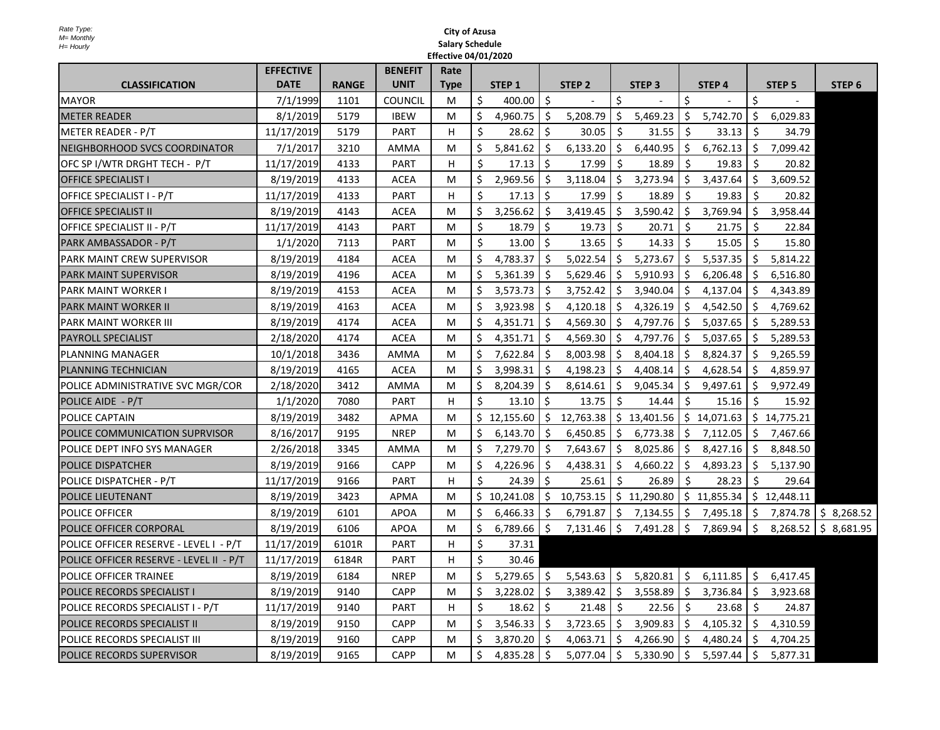|                                         | <b>EFFECTIVE</b> |              | <b>BENEFIT</b> | Rate        |              |                  |          |               |    |                            |              |             |              |           |                         |
|-----------------------------------------|------------------|--------------|----------------|-------------|--------------|------------------|----------|---------------|----|----------------------------|--------------|-------------|--------------|-----------|-------------------------|
| <b>CLASSIFICATION</b>                   | <b>DATE</b>      | <b>RANGE</b> | <b>UNIT</b>    | <b>Type</b> |              | STEP 1           |          | <b>STEP 2</b> |    | STEP <sub>3</sub>          |              | STEP 4      |              | STEP 5    | STEP 6                  |
| <b>MAYOR</b>                            | 7/1/1999         | 1101         | <b>COUNCIL</b> | M           | $\varsigma$  | 400.00           |          |               |    |                            |              |             |              |           |                         |
| <b>METER READER</b>                     | 8/1/2019         | 5179         | <b>IBEW</b>    | M           | $\varsigma$  | 4,960.75         | -Ş       | 5,208.79      |    | 5,469.23                   | -Ş           | 5,742.70    | S            | 6,029.83  |                         |
| METER READER - P/T                      | 11/17/2019       | 5179         | <b>PART</b>    | H           | $\varsigma$  | 28.62            | -S       | 30.05         |    | 31.55                      | <sub>S</sub> | 33.13       |              | 34.79     |                         |
| NEIGHBORHOOD SVCS COORDINATOR           | 7/1/2017         | 3210         | <b>AMMA</b>    | M           | $\varsigma$  | 5,841.62         |          | 6,133.20      |    | 6,440.95                   | $\varsigma$  | 6,762.13    |              | 7,099.42  |                         |
| OFC SP I/WTR DRGHT TECH - P/T           | 11/17/2019       | 4133         | <b>PART</b>    | H.          |              | 17.13            | -Ş       | 17.99         |    | 18.89                      | <sub>S</sub> | 19.83       |              | 20.82     |                         |
| <b>OFFICE SPECIALIST I</b>              | 8/19/2019        | 4133         | <b>ACEA</b>    | M           |              | 2,969.56         |          | 3,118.04      |    | 3,273.94                   | -S           | 3,437.64    |              | 3,609.52  |                         |
| OFFICE SPECIALIST I - P/T               | 11/17/2019       | 4133         | <b>PART</b>    | H           |              | 17.13            |          | 17.99         |    | 18.89                      |              | 19.83       |              | 20.82     |                         |
| <b>OFFICE SPECIALIST II</b>             | 8/19/2019        | 4143         | <b>ACEA</b>    | M           |              | 3,256.62         |          | 3,419.45      |    | 3,590.42                   | $\varsigma$  | 3,769.94    |              | 3,958.44  |                         |
| OFFICE SPECIALIST II - P/T              | 11/17/2019       | 4143         | <b>PART</b>    | M           | $\varsigma$  | 18.79            | -Ş       | 19.73         |    | 20.71                      | -Ş           | 21.75       |              | 22.84     |                         |
| PARK AMBASSADOR - P/T                   | 1/1/2020         | 7113         | <b>PART</b>    | M           | $\zeta$      | 13.00            | -Ş       | 13.65         |    | 14.33                      | -S           | 15.05       |              | 15.80     |                         |
| <b>PARK MAINT CREW SUPERVISOR</b>       | 8/19/2019        | 4184         | <b>ACEA</b>    | M           | \$           | 4,783.37         | -S       | 5,022.54      |    | 5,273.67                   | $\varsigma$  | 5,537.35    |              | 5,814.22  |                         |
| <b>PARK MAINT SUPERVISOR</b>            | 8/19/2019        | 4196         | <b>ACEA</b>    | M           | \$           | 5,361.39         |          | 5,629.46      |    | 5,910.93                   | \$.          | 6,206.48    |              | 6,516.80  |                         |
| <b>PARK MAINT WORKER I</b>              | 8/19/2019        | 4153         | <b>ACEA</b>    | M           | \$           | 3,573.73         | -S       | 3,752.42      |    | 3,940.04                   | $\zeta$      | 4,137.04    |              | 4,343.89  |                         |
| <b>PARK MAINT WORKER II</b>             | 8/19/2019        | 4163         | <b>ACEA</b>    | M           | \$           | 3,923.98         |          | 4,120.18      |    | 4,326.19                   | $\varsigma$  | 4,542.50    | <sub>S</sub> | 4,769.62  |                         |
| <b>PARK MAINT WORKER III</b>            | 8/19/2019        | 4174         | <b>ACEA</b>    | M           | $\varsigma$  | 4,351.71         |          | 4,569.30      |    | 4,797.76                   | \$.          | 5,037.65    |              | 5,289.53  |                         |
| <b>PAYROLL SPECIALIST</b>               | 2/18/2020        | 4174         | <b>ACEA</b>    | M           | \$           | 4,351.71         |          | 4,569.30      |    | 4,797.76                   | $\mathsf{S}$ | 5,037.65    |              | 5,289.53  |                         |
| <b>PLANNING MANAGER</b>                 | 10/1/2018        | 3436         | <b>AMMA</b>    | M           |              | 7,622.84         |          | 8,003.98      |    | 8,404.18                   | S.           | 8,824.37    |              | 9,265.59  |                         |
| <b>PLANNING TECHNICIAN</b>              | 8/19/2019        | 4165         | <b>ACEA</b>    | M           | $\varsigma$  | 3,998.31         | $\zeta$  |               |    | $4,198.23$   \$ $4,408.14$ |              | \$4,628.54  | $\zeta$      | 4,859.97  |                         |
| POLICE ADMINISTRATIVE SVC MGR/COR       | 2/18/2020        | 3412         | <b>AMMA</b>    | M           | $\varsigma$  | 8,204.39         |          | 8,614.61      |    | 9,045.34                   | -S           | 9,497.61    |              | 9,972.49  |                         |
| POLICE AIDE - P/T                       | 1/1/2020         | 7080         | <b>PART</b>    | H.          | $\varsigma$  | $13.10 \mid \xi$ |          | 13.75         |    | 14.44                      | \$.          | 15.16       |              | 15.92     |                         |
| <b>POLICE CAPTAIN</b>                   | 8/19/2019        | 3482         | <b>APMA</b>    | M           |              | \$12,155.60      | <b>S</b> | 12,763.38     | S  | 13,401.56                  |              | \$14,071.63 | S.           | 14,775.21 |                         |
| POLICE COMMUNICATION SUPRVISOR          | 8/16/2017        | 9195         | <b>NREP</b>    | M           | $\varsigma$  | 6,143.70         |          | 6,450.85      |    | 6,773.38                   | -Ş           | 7,112.05    |              | 7,467.66  |                         |
| <b>POLICE DEPT INFO SYS MANAGER</b>     | 2/26/2018        | 3345         | <b>AMMA</b>    | M           | $\zeta$      | 7,279.70         |          | 7,643.67      |    | 8,025.86                   | $\mathsf{S}$ | 8,427.16    |              | 8,848.50  |                         |
| <b>POLICE DISPATCHER</b>                | 8/19/2019        | 9166         | <b>CAPP</b>    | M           |              | 4,226.96         |          | 4,438.31      |    | 4,660.22                   | -Ş           | 4,893.23    |              | 5,137.90  |                         |
| <b>POLICE DISPATCHER - P/T</b>          | 11/17/2019       | 9166         | <b>PART</b>    | H           | $\varsigma$  | 24.39            | -Ş       | 25.61         |    | 26.89                      | -Ş           | 28.23       |              | 29.64     |                         |
| <b>POLICE LIEUTENANT</b>                | 8/19/2019        | 3423         | <b>APMA</b>    | M           |              | 10,241.08        |          | 10,753.15     | Ş. | 11,290.80                  | $\zeta$      | 11,855.34   | S.           | 12,448.11 |                         |
| <b>POLICE OFFICER</b>                   | 8/19/2019        | 6101         | <b>APOA</b>    | M           | $\mathsf{S}$ | 6,466.33         | -Ş       | 6,791.87      | Ş. | 7,134.55                   | -Ş           | 7,495.18    | <sub>S</sub> | 7,874.78  | \$8,268.52              |
| <b>POLICE OFFICER CORPORAL</b>          | 8/19/2019        | 6106         | <b>APOA</b>    | M           | \$           | 6,789.66         | -Ş       | 7,131.46      | -Ş | 7,491.28                   | \$           | 7,869.94    | $\zeta$      | 8,268.52  | $\varsigma$<br>8,681.95 |
| POLICE OFFICER RESERVE - LEVEL I - P/T  | 11/17/2019       | 6101R        | <b>PART</b>    | H           | $\varsigma$  | 37.31            |          |               |    |                            |              |             |              |           |                         |
| POLICE OFFICER RESERVE - LEVEL II - P/T | 11/17/2019       | 6184R        | <b>PART</b>    | H.          | $\varsigma$  | 30.46            |          |               |    |                            |              |             |              |           |                         |
| <b>POLICE OFFICER TRAINEE</b>           | 8/19/2019        | 6184         | <b>NREP</b>    | M           | $\varsigma$  | 5,279.65         |          | 5,543.63      |    | 5,820.81                   | $\zeta$      | 6,111.85    | $\varsigma$  | 6,417.45  |                         |
| <b>POLICE RECORDS SPECIALIST I</b>      | 8/19/2019        | 9140         | <b>CAPP</b>    | M           | $\mathsf{S}$ | 3,228.02         |          | 3,389.42      |    | 3,558.89                   | $\varsigma$  | 3,736.84    |              | 3,923.68  |                         |
| POLICE RECORDS SPECIALIST I - P/T       | 11/17/2019       | 9140         | <b>PART</b>    | H.          | $\varsigma$  | 18.62            |          | 21.48         |    | 22.56                      | \$.          | 23.68       |              | 24.87     |                         |
| <b>POLICE RECORDS SPECIALIST II</b>     | 8/19/2019        | 9150         | <b>CAPP</b>    | M           | \$           | 3,546.33         |          | 3,723.65      |    | 3,909.83                   | $\varsigma$  | 4,105.32    | <sub>S</sub> | 4,310.59  |                         |
| <b>POLICE RECORDS SPECIALIST III</b>    | 8/19/2019        | 9160         | <b>CAPP</b>    | M           |              | 3,870.20         |          | 4,063.71      |    | 4,266.90                   | $\mathsf{S}$ | 4,480.24    |              | 4,704.25  |                         |
| <b>POLICE RECORDS SUPERVISOR</b>        | 8/19/2019        | 9165         | <b>CAPP</b>    | M           | \$,          | 4,835.28         | -Ş       | 5,077.04      |    | 5,330.90                   | -Ş           | 5,597.44    |              | 5,877.31  |                         |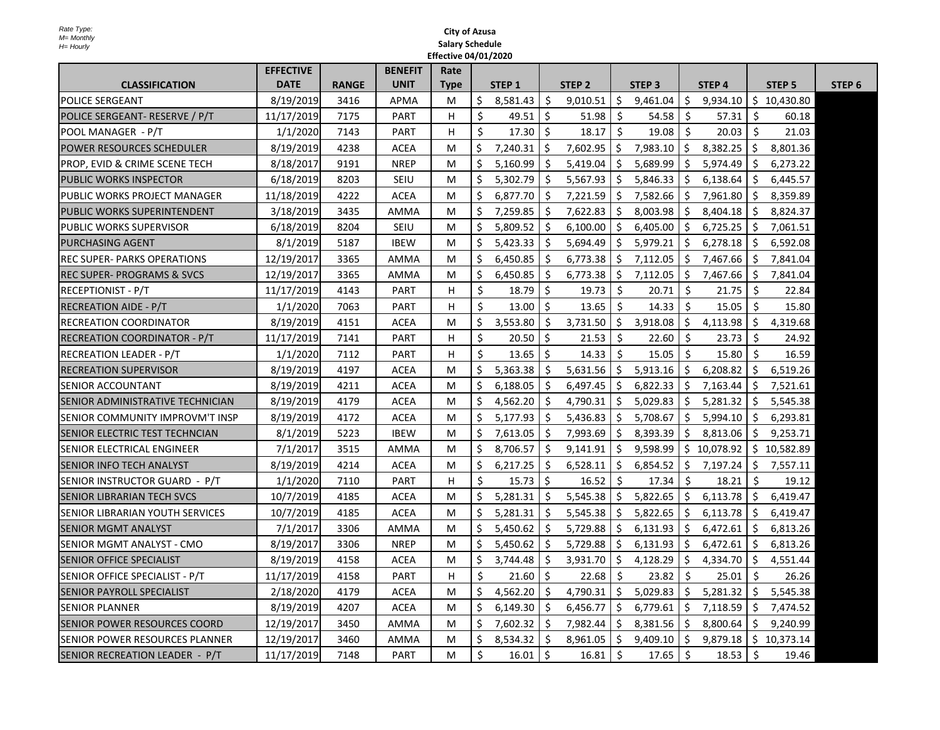|                                          | <b>EFFECTIVE</b> |              | <b>BENEFIT</b> | Rate        |              |              |              |          |               |               |              |           |             |                   |        |
|------------------------------------------|------------------|--------------|----------------|-------------|--------------|--------------|--------------|----------|---------------|---------------|--------------|-----------|-------------|-------------------|--------|
| <b>CLASSIFICATION</b>                    | <b>DATE</b>      | <b>RANGE</b> | <b>UNIT</b>    | <b>Type</b> |              | STEP 1       |              | STEP 2   |               | <b>STEP 3</b> |              | STEP 4    |             | STEP <sub>5</sub> | STEP 6 |
| <b>POLICE SERGEANT</b>                   | 8/19/2019        | 3416         | <b>APMA</b>    | M           | $\mathsf{S}$ | 8,581.43     |              | 9,010.51 |               | 9,461.04      | $\varsigma$  | 9,934.10  | $\varsigma$ | 10,430.80         |        |
| POLICE SERGEANT- RESERVE / P/T           | 11/17/2019       | 7175         | <b>PART</b>    | Н.          |              | 49.51        | \$,          | 51.98    |               | 54.58         |              | 57.31     |             | 60.18             |        |
| POOL MANAGER - P/T                       | 1/1/2020         | 7143         | <b>PART</b>    | H.          |              | 17.30        | -Ş           | 18.17    | <sub>S</sub>  | 19.08         |              | 20.03     |             | 21.03             |        |
| <b>POWER RESOURCES SCHEDULER</b>         | 8/19/2019        | 4238         | <b>ACEA</b>    | M           | \$           | 7,240.31     | <sup>S</sup> | 7,602.95 |               | 7,983.10      | $\zeta$      | 8,382.25  |             | 8,801.36          |        |
| <b>PROP, EVID &amp; CRIME SCENE TECH</b> | 8/18/2017        | 9191         | <b>NREP</b>    | M           |              | 5,160.99     |              | 5,419.04 |               | 5,689.99      |              | 5,974.49  |             | 6,273.22          |        |
| <b>PUBLIC WORKS INSPECTOR</b>            | 6/18/2019        | 8203         | <b>SEIU</b>    | M           |              | 5,302.79     |              | 5,567.93 |               | 5,846.33      | <sub>S</sub> | 6,138.64  |             | 6,445.57          |        |
| <b>PUBLIC WORKS PROJECT MANAGER</b>      | 11/18/2019       | 4222         | <b>ACEA</b>    | M           |              | 6,877.70     |              | 7,221.59 |               | 7,582.66      | -\$          | 7,961.80  |             | 8,359.89          |        |
| <b>PUBLIC WORKS SUPERINTENDENT</b>       | 3/18/2019        | 3435         | <b>AMMA</b>    | M           |              | 7,259.85     | -Ş           | 7,622.83 |               | 8,003.98      | $\varsigma$  | 8,404.18  |             | 8,824.37          |        |
| <b>PUBLIC WORKS SUPERVISOR</b>           | 6/18/2019        | 8204         | <b>SEIU</b>    | M           |              | 5,809.52     | -Ş           | 6,100.00 |               | 6,405.00      | -Ş           | 6,725.25  |             | 7,061.51          |        |
| <b>PURCHASING AGENT</b>                  | 8/1/2019         | 5187         | <b>IBEW</b>    | M           | $\zeta$      | 5,423.33     |              | 5,694.49 |               | 5,979.21      | $\varsigma$  | 6,278.18  |             | 6,592.08          |        |
| <b>IREC SUPER- PARKS OPERATIONS</b>      | 12/19/2017       | 3365         | <b>AMMA</b>    | M           |              | 6,450.85     |              | 6,773.38 |               | 7,112.05      | $\mathsf{S}$ | 7,467.66  |             | 7,841.04          |        |
| <b>REC SUPER- PROGRAMS &amp; SVCS</b>    | 12/19/2017       | 3365         | <b>AMMA</b>    | M           |              | 6,450.85     |              | 6,773.38 | $\mathcal{S}$ | 7,112.05      | -S           | 7,467.66  |             | 7,841.04          |        |
| <b>RECEPTIONIST - P/T</b>                | 11/17/2019       | 4143         | <b>PART</b>    | H           |              | 18.79        | $\varsigma$  | 19.73    |               | 20.71         |              | 21.75     |             | 22.84             |        |
| <b>RECREATION AIDE - P/T</b>             | 1/1/2020         | 7063         | <b>PART</b>    | H           |              | 13.00        | $\varsigma$  | 13.65    |               | 14.33         |              | 15.05     | S           | 15.80             |        |
| <b>RECREATION COORDINATOR</b>            | 8/19/2019        | 4151         | ACEA           | M           | $\varsigma$  | 3,553.80     | -S           | 3,731.50 | \$.           | 3,918.08      | \$.          | 4,113.98  | <b>S</b>    | 4,319.68          |        |
| <b>RECREATION COORDINATOR - P/T</b>      | 11/17/2019       | 7141         | <b>PART</b>    | H.          |              | 20.50        | <sup>S</sup> | 21.53    |               | 22.60         |              | 23.73     |             | 24.92             |        |
| <b>RECREATION LEADER - P/T</b>           | 1/1/2020         | 7112         | <b>PART</b>    | H.          |              | 13.65        |              | 14.33    |               | 15.05         |              | 15.80     |             | 16.59             |        |
| <b>RECREATION SUPERVISOR</b>             | 8/19/2019        | 4197         | <b>ACEA</b>    | M           |              | 5,363.38     |              | 5,631.56 | \$            | 5,913.16      | $\zeta$      | 6,208.82  |             | 6,519.26          |        |
| <b>SENIOR ACCOUNTANT</b>                 | 8/19/2019        | 4211         | ACEA           | M           |              | 6,188.05     |              | 6,497.45 |               | 6,822.33      | -S           | 7,163.44  |             | 7,521.61          |        |
| <b>SENIOR ADMINISTRATIVE TECHNICIAN</b>  | 8/19/2019        | 4179         | <b>ACEA</b>    | M           | \$.          | 4,562.20     | -Ş           | 4,790.31 |               | 5,029.83      | $\mathsf{S}$ | 5,281.32  |             | 5,545.38          |        |
| <b>SENIOR COMMUNITY IMPROVM'T INSP</b>   | 8/19/2019        | 4172         | ACEA           | M           | Ş.           | 5,177.93     |              | 5,436.83 |               | 5,708.67      | -Ş           | 5,994.10  | <b>S</b>    | 6,293.81          |        |
| <b>SENIOR ELECTRIC TEST TECHNCIAN</b>    | 8/1/2019         | 5223         | <b>IBEW</b>    | M           | \$.          | 7,613.05     |              | 7,993.69 |               | 8,393.39      | $\mathsf{S}$ | 8,813.06  |             | 9,253.71          |        |
| <b>SENIOR ELECTRICAL ENGINEER</b>        | 7/1/2017         | 3515         | <b>AMMA</b>    | M           |              | 8,706.57     | -S           | 9,141.91 |               | 9,598.99      | -S           | 10,078.92 |             | 10,582.89         |        |
| <b>SENIOR INFO TECH ANALYST</b>          | 8/19/2019        | 4214         | <b>ACEA</b>    | M           |              | 6,217.25     |              | 6,528.11 |               | 6,854.52      | -Ş           | 7,197.24  |             | 7,557.11          |        |
| SENIOR INSTRUCTOR GUARD - P/T            | 1/1/2020         | 7110         | <b>PART</b>    | H           |              | 15.73        | Ş            | 16.52    |               | 17.34         |              | 18.21     | \$,         | 19.12             |        |
| <b>SENIOR LIBRARIAN TECH SVCS</b>        | 10/7/2019        | 4185         | <b>ACEA</b>    | M           |              | 5,281.31     |              | 5,545.38 |               | 5,822.65      | $\mathsf{S}$ | 6,113.78  | -S          | 6,419.47          |        |
| <b>SENIOR LIBRARIAN YOUTH SERVICES</b>   | 10/7/2019        | 4185         | <b>ACEA</b>    | M           |              | 5,281.31     |              | 5,545.38 |               | 5,822.65      | \$.          | 6,113.78  |             | 6,419.47          |        |
| <b>SENIOR MGMT ANALYST</b>               | 7/1/2017         | 3306         | <b>AMMA</b>    | M           |              | 5,450.62     |              | 5,729.88 |               | 6,131.93      | \$.          | 6,472.61  |             | 6,813.26          |        |
| SENIOR MGMT ANALYST - CMO                | 8/19/2017        | 3306         | <b>NREP</b>    | M           |              | 5,450.62     |              | 5,729.88 |               | 6,131.93      | -Ş           | 6,472.61  |             | 6,813.26          |        |
| <b>SENIOR OFFICE SPECIALIST</b>          | 8/19/2019        | 4158         | <b>ACEA</b>    | M           |              | 3,744.48     |              | 3,931.70 |               | 4,128.29      | $\varsigma$  | 4,334.70  | S           | 4,551.44          |        |
| SENIOR OFFICE SPECIALIST - P/T           | 11/17/2019       | 4158         | <b>PART</b>    | H.          |              | 21.60        | \$,          | 22.68    |               | 23.82         |              | 25.01     | -S          | 26.26             |        |
| <b>SENIOR PAYROLL SPECIALIST</b>         | 2/18/2020        | 4179         | <b>ACEA</b>    | M           | \$.          | 4,562.20     | <sub>S</sub> | 4,790.31 |               | 5,029.83      | -Ş           | 5,281.32  |             | 5,545.38          |        |
| <b>SENIOR PLANNER</b>                    | 8/19/2019        | 4207         | <b>ACEA</b>    | M           |              | 6,149.30     |              | 6,456.77 |               | 6,779.61      | <sub>S</sub> | 7,118.59  |             | 7,474.52          |        |
| <b>SENIOR POWER RESOURCES COORD</b>      | 12/19/2017       | 3450         | <b>AMMA</b>    | M           | Ş.           | 7,602.32     |              | 7,982.44 |               | 8,381.56      | $\mathsf{S}$ | 8,800.64  |             | 9,240.99          |        |
| <b>SENIOR POWER RESOURCES PLANNER</b>    | 12/19/2017       | 3460         | <b>AMMA</b>    | M           |              | 8,534.32     | $\mathsf{S}$ | 8,961.05 |               | 9,409.10      | -Ş           | 9,879.18  |             | 10,373.14         |        |
| SENIOR RECREATION LEADER - P/T           | 11/17/2019       | 7148         | <b>PART</b>    | M           |              | $16.01$   \$ |              | 16.81    | -Ş            | 17.65         |              | 18.53     | -Ş          | 19.46             |        |